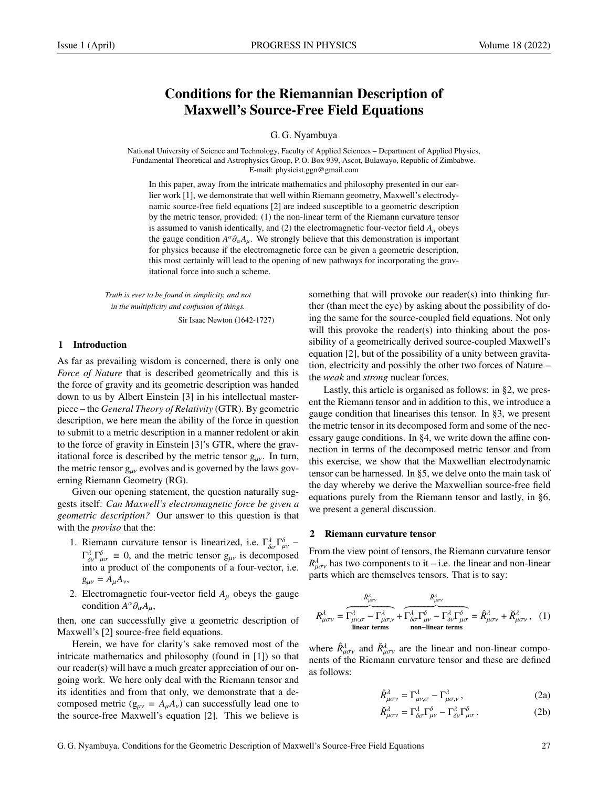# Conditions for the Riemannian Description of Maxwell's Source-Free Field Equations

### G. G. Nyambuya

National University of Science and Technology, Faculty of Applied Sciences – Department of Applied Physics, Fundamental Theoretical and Astrophysics Group, P. O. Box 939, Ascot, Bulawayo, Republic of Zimbabwe. E-mail: physicist.ggn@gmail.com

In this paper, away from the intricate mathematics and philosophy presented in our earlier work [1], we demonstrate that well within Riemann geometry, Maxwell's electrodynamic source-free field equations [2] are indeed susceptible to a geometric description by the metric tensor, provided: (1) the non-linear term of the Riemann curvature tensor is assumed to vanish identically, and (2) the electromagnetic four-vector field  $A<sub>u</sub>$  obeys the gauge condition  $A^{\alpha}\partial_{\alpha}A_{\mu}$ . We strongly believe that this demonstration is important for physics because if the electromagnetic force can be given a geometric description for physics because if the electromagnetic force can be given a geometric description, this most certainly will lead to the opening of new pathways for incorporating the gravitational force into such a scheme.

*Truth is ever to be found in simplicity, and not in the multiplicity and confusion of things.*

Sir Isaac Newton (1642-1727)

# 1 Introduction

As far as prevailing wisdom is concerned, there is only one *Force of Nature* that is described geometrically and this is the force of gravity and its geometric description was handed down to us by Albert Einstein [3] in his intellectual masterpiece – the *General Theory of Relativity* (GTR). By geometric description, we here mean the ability of the force in question to submit to a metric description in a manner redolent or akin to the force of gravity in Einstein [3]'s GTR, where the gravitational force is described by the metric tensor  $g_{\mu\nu}$ . In turn, the metric tensor  $g_{\mu\nu}$  evolves and is governed by the laws governing Riemann Geometry (RG).

Given our opening statement, the question naturally suggests itself: *Can Maxwell's electromagnetic force be given a geometric description?* Our answer to this question is that with the *proviso* that the:

- 1. Riemann curvature tensor is linearized, i.e.  $\Gamma^{\lambda}_{\delta\sigma} \Gamma^{\delta}_{\mu\nu} \Gamma^{\lambda} \Gamma^{\delta} = 0$  and the matric tensor  $\alpha$ , is decomposed  $\Gamma_{\delta y}^{\lambda} \Gamma_{\mu\sigma}^{\delta} \equiv 0$ , and the metric tensor  $g_{\mu\nu}$  is decomposed<br>into a product of the components of a four-vector i.e. into a product of the components of a four-vector, i.e.  $g_{\mu\nu} = A_{\mu}A_{\nu}$
- 2. Electromagnetic four-vector field  $A_\mu$  obeys the gauge condition  $A^{\alpha} \partial_{\alpha} A_{\mu}$ ,

then, one can successfully give a geometric description of Maxwell's [2] source-free field equations.

Herein, we have for clarity's sake removed most of the intricate mathematics and philosophy (found in [1]) so that our reader(s) will have a much greater appreciation of our ongoing work. We here only deal with the Riemann tensor and its identities and from that only, we demonstrate that a decomposed metric ( $g_{\mu\nu} = A_{\mu}A_{\nu}$ ) can successfully lead one to the source-free Maxwell's equation [2]. This we believe is something that will provoke our reader(s) into thinking further (than meet the eye) by asking about the possibility of doing the same for the source-coupled field equations. Not only will this provoke the reader(s) into thinking about the possibility of a geometrically derived source-coupled Maxwell's equation [2], but of the possibility of a unity between gravitation, electricity and possibly the other two forces of Nature – the *weak* and *strong* nuclear forces.

Lastly, this article is organised as follows: in §2, we present the Riemann tensor and in addition to this, we introduce a gauge condition that linearises this tensor. In §3, we present the metric tensor in its decomposed form and some of the necessary gauge conditions. In §4, we write down the affine connection in terms of the decomposed metric tensor and from this exercise, we show that the Maxwellian electrodynamic tensor can be harnessed. In §5, we delve onto the main task of the day whereby we derive the Maxwellian source-free field equations purely from the Riemann tensor and lastly, in §6, we present a general discussion.

### 2 Riemann curvature tensor

From the view point of tensors, the Riemann curvature tensor  $R_{\mu\sigma\nu}^{\lambda}$  has two components to it – i.e. the linear and non-linear normal parts which are themselves tensors. That is to say: parts which are themselves tensors. That is to say:

$$
R^{\lambda}_{\mu\sigma\nu} = \overbrace{\Gamma^{\lambda}_{\mu\nu,\sigma} - \Gamma^{\lambda}_{\mu\sigma,\nu}}^{\hat{R}^{\lambda}_{\mu\sigma\nu}} + \overbrace{\Gamma^{\lambda}_{\delta\sigma} \Gamma^{\delta}_{\mu\nu} - \Gamma^{\lambda}_{\delta\nu} \Gamma^{\delta}_{\mu\sigma}}^{\tilde{R}^{\lambda}_{\mu\sigma\nu}} = \hat{R}^{\lambda}_{\mu\sigma\nu} + \check{R}^{\lambda}_{\mu\sigma\nu}, \quad (1)
$$
  
linear terms non-linear terms

where  $\hat{R}^{\lambda}_{\mu\sigma\nu}$  and  $\check{R}^{\lambda}_{\mu\sigma\nu}$  are the linear and non-linear components of the Piemann curvature tensor and these are defined nents of the Riemann curvature tensor and these are defined as follows:

$$
\hat{R}^{\lambda}_{\mu\sigma\nu} = \Gamma^{\lambda}_{\mu\nu,\sigma} - \Gamma^{\lambda}_{\mu\sigma,\nu},
$$
\n(2a)

$$
\breve{R}^{\lambda}_{\mu\sigma\nu} = \Gamma^{\lambda}_{\delta\sigma} \Gamma^{\delta}_{\mu\nu} - \Gamma^{\lambda}_{\delta\nu} \Gamma^{\delta}_{\mu\sigma}.
$$
 (2b)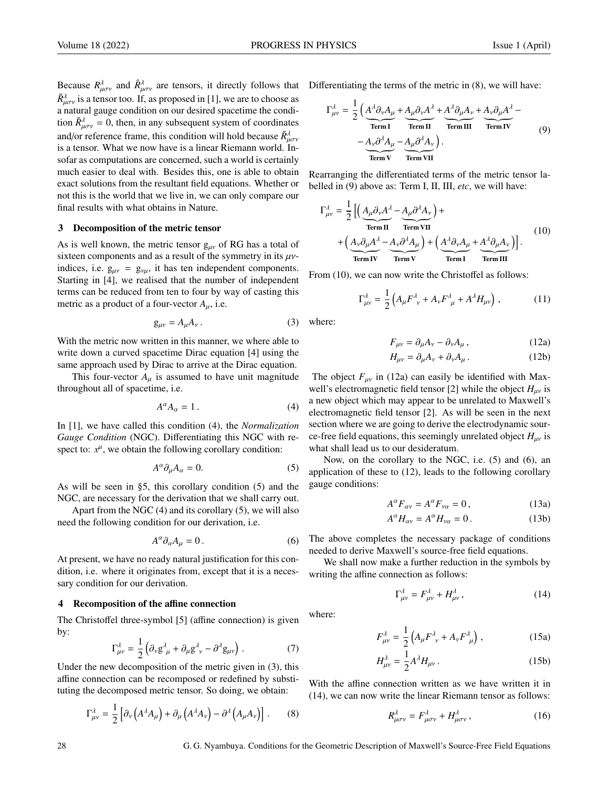Because  $R_{\mu\sigma\nu}^{\lambda}$  and  $\hat{R}_{\mu\sigma\nu}^{\lambda}$  are tensors, it directly follows that Differentiating the terms of the metric in (8), we will have:  $\tilde{R}^{\lambda}_{\mu\sigma\nu}$  is a tensor too. If, as proposed in [1], we are to choose as a natural gauge condition on our desired spacetime the condition  $\tilde{R}^{\lambda}_{\mu\sigma\nu} = 0$ , then, in any subsequent system of coordinates and/or reference frame, this condition will hold because  $\tilde{R}^{\lambda}_{\mu\sigma\nu}$ is a tensor. What we now have is a linear Riemann world. Insofar as computations are concerned, such a world is certainly much easier to deal with. Besides this, one is able to obtain exact solutions from the resultant field equations. Whether or not this is the world that we live in, we can only compare our final results with what obtains in Nature.

#### 3 Decomposition of the metric tensor

As is well known, the metric tensor  $g_{\mu\nu}$  of RG has a total of sixteen components and as a result of the symmetry in its  $\mu\nu$ indices, i.e.  $g_{\mu\nu} = g_{\nu\mu}$ , it has ten independent components. Starting in [4], we realised that the number of independent terms can be reduced from ten to four by way of casting this metric as a product of a four-vector *<sup>A</sup>*µ, i.e.

$$
g_{\mu\nu} = A_{\mu} A_{\nu} . \tag{3}
$$

With the metric now written in this manner, we where able to write down a curved spacetime Dirac equation [4] using the same approach used by Dirac to arrive at the Dirac equation.

This four-vector  $A_\mu$  is assumed to have unit magnitude throughout all of spacetime, i.e.

$$
A^{\alpha}A_{\alpha}=1.
$$
 (4)

In [1], we have called this condition (4), the *Normalization Gauge Condition* (NGC). Differentiating this NGC with respect to:  $x^{\mu}$ , we obtain the following corollary condition:

$$
A^{\alpha}\partial_{\mu}A_{\alpha}=0.\t\t(5)
$$

As will be seen in §5, this corollary condition (5) and the NGC, are necessary for the derivation that we shall carry out.

Apart from the NGC (4) and its corollary (5), we will also need the following condition for our derivation, i.e.

$$
A^{\alpha}\partial_{\alpha}A_{\mu}=0.
$$
 (6)

At present, we have no ready natural justification for this condition, i.e. where it originates from, except that it is a necessary condition for our derivation.

#### 4 Recomposition of the affine connection

The Christoffel three-symbol [5] (affine connection) is given by:

$$
\Gamma^{\lambda}_{\mu\nu} = \frac{1}{2} \left( \partial_{\nu} g^{\lambda}_{\mu} + \partial_{\mu} g^{\lambda}_{\nu} - \partial^{\lambda} g_{\mu\nu} \right). \tag{7}
$$

Under the new decomposition of the metric given in (3), this affine connection can be recomposed or redefined by substituting the decomposed metric tensor. So doing, we obtain:

$$
\Gamma^{\lambda}_{\mu\nu} = \frac{1}{2} \left[ \partial_{\nu} \left( A^{\lambda} A_{\mu} \right) + \partial_{\mu} \left( A^{\lambda} A_{\nu} \right) - \partial^{\lambda} \left( A_{\mu} A_{\nu} \right) \right]. \tag{8}
$$

$$
\Gamma_{\mu\nu}^{\lambda} = \frac{1}{2} \left( \underbrace{A^{\lambda} \partial_{\nu} A_{\mu}}_{\text{Term I}} + \underbrace{A_{\mu} \partial_{\nu} A^{\lambda}}_{\text{Term II}} + \underbrace{A^{\lambda} \partial_{\mu} A_{\nu}}_{\text{Term III}} + \underbrace{A_{\nu} \partial_{\mu} A^{\lambda}}_{\text{Term IV}} - \underbrace{A_{\nu} \partial^{\lambda} A_{\mu}}_{\text{Term V}} - \underbrace{A_{\mu} \partial^{\lambda} A_{\nu}}_{\text{Term VI}} \right)
$$
\n(9)

Rearranging the differentiated terms of the metric tensor labelled in (9) above as: Term I, II, III, *etc*, we will have:

$$
\Gamma_{\mu\nu}^{\lambda} = \frac{1}{2} \left[ \left( \underbrace{A_{\mu}\partial_{\nu}A^{\lambda}}_{\text{Term II}} - \underbrace{A_{\mu}\partial^{\lambda}A_{\nu}}_{\text{Term IV}} \right) + \left( \underbrace{A^{\lambda}\partial_{\nu}A_{\mu}}_{\text{Term IV}} + \left( \underbrace{A^{\lambda}\partial_{\nu}A_{\mu}}_{\text{Term IV}} + \underbrace{A^{\lambda}\partial_{\nu}A_{\mu}}_{\text{Term II}} + \underbrace{A^{\lambda}\partial_{\mu}A_{\nu}}_{\text{Term III}} \right) \right].
$$
 (10)

From  $(10)$ , we can now write the Christoffel as follows:

$$
\Gamma^{\lambda}_{\mu\nu} = \frac{1}{2} \left( A_{\mu} F^{\lambda}_{\ \nu} + A_{\nu} F^{\lambda}_{\ \mu} + A^{\lambda} H_{\mu\nu} \right), \tag{11}
$$

where:

$$
F_{\mu\nu} = \partial_{\mu}A_{\nu} - \partial_{\nu}A_{\mu},\tag{12a}
$$

$$
H_{\mu\nu} = \partial_{\mu}A_{\nu} + \partial_{\nu}A_{\mu}.
$$
 (12b)

The object  $F_{\mu\nu}$  in (12a) can easily be identified with Maxwell's electromagnetic field tensor [2] while the object  $H_{\mu\nu}$  is a new object which may appear to be unrelated to Maxwell's electromagnetic field tensor [2]. As will be seen in the next section where we are going to derive the electrodynamic source-free field equations, this seemingly unrelated object  $H_{\mu\nu}$  is what shall lead us to our desideratum.

Now, on the corollary to the NGC, i.e. (5) and (6), an application of these to (12), leads to the following corollary gauge conditions:

$$
A^{\alpha}F_{\alpha\nu} = A^{\alpha}F_{\nu\alpha} = 0, \qquad (13a)
$$

$$
A^{\alpha}H_{\alpha\nu} = A^{\alpha}H_{\nu\alpha} = 0. \tag{13b}
$$

The above completes the necessary package of conditions needed to derive Maxwell's source-free field equations.

We shall now make a further reduction in the symbols by writing the affine connection as follows:

$$
\Gamma^{\lambda}_{\mu\nu} = F^{\lambda}_{\mu\nu} + H^{\lambda}_{\mu\nu},\qquad(14)
$$

where:

$$
F_{\mu\nu}^{\lambda} = \frac{1}{2} \left( A_{\mu} F_{\nu}^{\lambda} + A_{\nu} F_{\mu}^{\lambda} \right), \qquad (15a)
$$

$$
H^{\lambda}_{\mu\nu} = \frac{1}{2} A^{\lambda} H_{\mu\nu} \,. \tag{15b}
$$

With the affine connection written as we have written it in (14), we can now write the linear Riemann tensor as follows:

$$
R^{\lambda}_{\mu\sigma\nu} = F^{\lambda}_{\mu\sigma\nu} + H^{\lambda}_{\mu\sigma\nu}, \qquad (16)
$$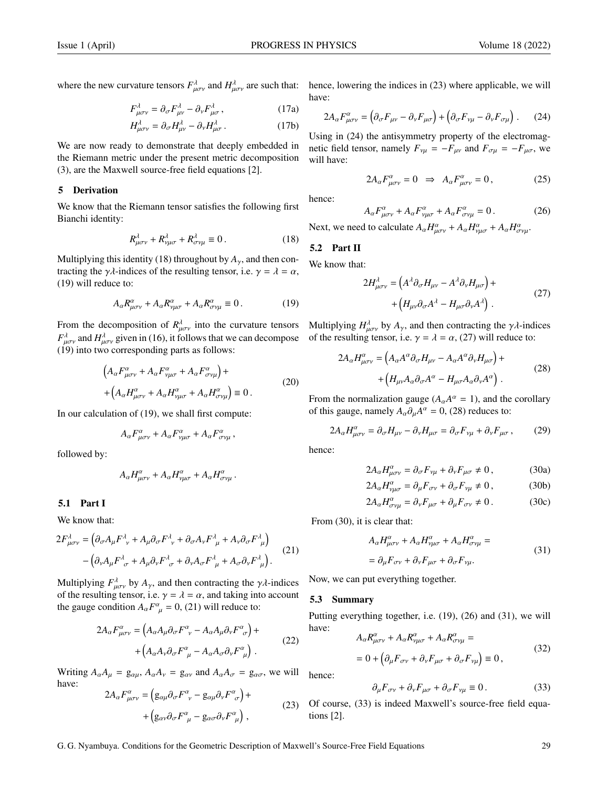$$
F^{\lambda}_{\mu\sigma\nu} = \partial_{\sigma} F^{\lambda}_{\mu\nu} - \partial_{\nu} F^{\lambda}_{\mu\sigma}, \qquad (17a)
$$

$$
H^{\lambda}_{\mu\sigma\nu} = \partial_{\sigma} H^{\lambda}_{\mu\nu} - \partial_{\nu} H^{\lambda}_{\mu\sigma}.
$$
 (17b)

We are now ready to demonstrate that deeply embedded in the Riemann metric under the present metric decomposition (3), are the Maxwell source-free field equations [2].

## 5 Derivation

We know that the Riemann tensor satisfies the following first Bianchi identity:

$$
R^{\lambda}_{\mu\sigma\nu} + R^{\lambda}_{\nu\mu\sigma} + R^{\lambda}_{\sigma\nu\mu} \equiv 0. \qquad (18)
$$

Multiplying this identity (18) throughout by  $A_{\gamma}$ , and then contracting the  $\gamma \lambda$ -indices of the resulting tensor, i.e.  $\gamma = \lambda = \alpha$ , (19) will reduce to:

$$
A_{\alpha}R^{\alpha}_{\mu\sigma\nu} + A_{\alpha}R^{\alpha}_{\nu\mu\sigma} + A_{\alpha}R^{\alpha}_{\sigma\nu\mu} \equiv 0. \qquad (19)
$$

 $F_{\mu\sigma\nu}^{\lambda}$  and  $H_{\mu\sigma\nu}^{\lambda}$  given in (16), it follows that we can decompose (19) into two corresponding parts as follows: (19) into two corresponding parts as follows:

$$
\left(A_{\alpha}F^{\alpha}_{\mu\sigma\nu} + A_{\alpha}F^{\alpha}_{\nu\mu\sigma} + A_{\alpha}F^{\alpha}_{\sigma\nu\mu}\right) +
$$
\n
$$
+ \left(A_{\alpha}H^{\alpha}_{\mu\sigma\nu} + A_{\alpha}H^{\alpha}_{\nu\mu\sigma} + A_{\alpha}H^{\alpha}_{\sigma\nu\mu}\right) \equiv 0.
$$
\n(20)

In our calculation of (19), we shall first compute:

$$
A_{\alpha}F^{\alpha}_{\mu\sigma\nu} + A_{\alpha}F^{\alpha}_{\nu\mu\sigma} + A_{\alpha}F^{\alpha}_{\sigma\nu\mu},
$$

followed by:

$$
A_{\alpha}H^{\alpha}_{\mu\sigma\nu}+A_{\alpha}H^{\alpha}_{\nu\mu\sigma}+A_{\alpha}H^{\alpha}_{\sigma\nu\mu}.
$$

# 5.1 Part I

We know that:

$$
2F_{\mu\sigma\nu}^{\lambda} = \left(\partial_{\sigma}A_{\mu}F_{\nu}^{\lambda} + A_{\mu}\partial_{\sigma}F_{\nu}^{\lambda} + \partial_{\sigma}A_{\nu}F_{\mu}^{\lambda} + A_{\nu}\partial_{\sigma}F_{\mu}^{\lambda}\right) - \left(\partial_{\nu}A_{\mu}F_{\sigma}^{\lambda} + A_{\mu}\partial_{\nu}F_{\sigma}^{\lambda} + \partial_{\nu}A_{\sigma}F_{\mu}^{\lambda} + A_{\sigma}\partial_{\nu}F_{\mu}^{\lambda}\right).
$$
 (21)

Multiplying  $F_{\mu\sigma\nu}^{\lambda}$  by  $A_{\gamma}$ , and then contracting the  $\gamma\lambda$ -indices of the resulting tensor i.e.  $\gamma = \lambda - \alpha$ , and taking into account of the resulting tensor, i.e.  $\gamma = \lambda = \alpha$ , and taking into account the gauge condition  $A_{\alpha}F^{\alpha}_{\mu} = 0$ , (21) will reduce to:

$$
2A_{\alpha}F_{\mu\sigma\nu}^{\alpha} = \left(A_{\alpha}A_{\mu}\partial_{\sigma}F_{\ \nu}^{\alpha} - A_{\alpha}A_{\mu}\partial_{\nu}F_{\ \sigma}^{\alpha}\right) + + \left(A_{\alpha}A_{\nu}\partial_{\sigma}F_{\ \mu}^{\alpha} - A_{\alpha}A_{\sigma}\partial_{\nu}F_{\ \mu}^{\alpha}\right).
$$
\n(22)

Writing  $A_{\alpha}A_{\mu} = g_{\alpha\mu}$ ,  $A_{\alpha}A_{\nu} = g_{\alpha\nu}$  and  $A_{\alpha}A_{\sigma} = g_{\alpha\sigma}$ , we will have:

$$
2A_{\alpha}F^{\alpha}_{\mu\sigma\nu} = (g_{\alpha\mu}\partial_{\sigma}F^{\alpha}_{\ \nu} - g_{\alpha\mu}\partial_{\nu}F^{\alpha}_{\ \sigma}) + (g_{\alpha\nu}\partial_{\sigma}F^{\alpha}_{\ \mu} - g_{\alpha\sigma}\partial_{\nu}F^{\alpha}_{\ \mu}),
$$
\n(23)

where the new curvature tensors  $F^{\lambda}_{\mu\sigma\nu}$  and  $H^{\lambda}_{\mu\sigma\nu}$  are such that: hence, lowering the indices in (23) where applicable, we will have:

$$
2A_{\alpha}F^{\alpha}_{\mu\sigma\nu} = \left(\partial_{\sigma}F_{\mu\nu} - \partial_{\nu}F_{\mu\sigma}\right) + \left(\partial_{\sigma}F_{\nu\mu} - \partial_{\nu}F_{\sigma\mu}\right). \tag{24}
$$

Using in (24) the antisymmetry property of the electromagnetic field tensor, namely  $F_{\nu\mu} = -F_{\mu\nu}$  and  $F_{\sigma\mu} = -F_{\mu\sigma}$ , we will have:

$$
2A_{\alpha}F^{\alpha}_{\mu\sigma\nu} = 0 \Rightarrow A_{\alpha}F^{\alpha}_{\mu\sigma\nu} = 0, \qquad (25)
$$

hence:

$$
A_{\alpha}F^{\alpha}_{\mu\sigma\nu} + A_{\alpha}F^{\alpha}_{\nu\mu\sigma} + A_{\alpha}F^{\alpha}_{\sigma\nu\mu} = 0.
$$
 (26)

Next, we need to calculate  $A_{\alpha}H^{\alpha}_{\mu\sigma\nu} + A_{\alpha}H^{\alpha}_{\nu\mu\sigma} + A_{\alpha}H^{\alpha}_{\sigma\nu\mu}$ .

#### 5.2 Part II

We know that:

$$
2H_{\mu\sigma\nu}^{\lambda} = \left(A^{\lambda}\partial_{\sigma}H_{\mu\nu} - A^{\lambda}\partial_{\nu}H_{\mu\sigma}\right) + + \left(H_{\mu\nu}\partial_{\sigma}A^{\lambda} - H_{\mu\sigma}\partial_{\nu}A^{\lambda}\right).
$$
 (27)

From the decomposition of  $R_{\mu\sigma\nu}^{\lambda}$  into the curvature tensors Multiplying  $H_{\mu\sigma\nu}^{\lambda}$  by  $A_{\gamma}$ , and then contracting the  $\gamma\lambda$ -indices  $F^{\lambda}$  and  $H^{\lambda}$  given in (16) it follows that we can decompose of th of the resulting tensor, i.e.  $\gamma = \lambda = \alpha$ , (27) will reduce to:

$$
2A_{\alpha}H^{\alpha}_{\mu\sigma\nu} = \left(A_{\alpha}A^{\alpha}\partial_{\sigma}H_{\mu\nu} - A_{\alpha}A^{\alpha}\partial_{\nu}H_{\mu\sigma}\right) + + \left(H_{\mu\nu}A_{\alpha}\partial_{\sigma}A^{\alpha} - H_{\mu\sigma}A_{\alpha}\partial_{\nu}A^{\alpha}\right).
$$
\n(28)

From the normalization gauge  $(A_{\alpha}A^{\alpha} = 1)$ , and the corollary<br>of this gauge, namely  $A_{\alpha}A^{\alpha} = 0$ , (28) reduces to: of this gauge, namely  $A_{\alpha}\partial_{\mu}A^{\alpha} = 0$ , (28) reduces to:

$$
2A_{\alpha}H^{\alpha}_{\mu\sigma\nu} = \partial_{\sigma}H_{\mu\nu} - \partial_{\nu}H_{\mu\sigma} = \partial_{\sigma}F_{\nu\mu} + \partial_{\nu}F_{\mu\sigma}, \qquad (29)
$$

hence:

$$
2A_{\alpha}H^{\alpha}_{\mu\sigma\nu} = \partial_{\sigma}F_{\nu\mu} + \partial_{\nu}F_{\mu\sigma} \neq 0, \qquad (30a)
$$

$$
2A_{\alpha}H_{\nu\mu\sigma}^{\alpha} = \partial_{\mu}F_{\sigma\nu} + \partial_{\sigma}F_{\nu\mu} \neq 0, \qquad (30b)
$$

$$
2A_{\alpha}H^{\alpha}_{\sigma\nu\mu} = \partial_{\nu}F_{\mu\sigma} + \partial_{\mu}F_{\sigma\nu} \neq 0. \tag{30c}
$$

From (30), it is clear that:

$$
A_{\alpha}H^{\alpha}_{\mu\sigma\nu} + A_{\alpha}H^{\alpha}_{\nu\mu\sigma} + A_{\alpha}H^{\alpha}_{\sigma\nu\mu} =
$$
  
=  $\partial_{\mu}F_{\sigma\nu} + \partial_{\nu}F_{\mu\sigma} + \partial_{\sigma}F_{\nu\mu}.$  (31)

Now, we can put everything together.

#### 5.3 Summary

Putting everything together, i.e. (19), (26) and (31), we will have:

$$
A_{\alpha}R^{\alpha}_{\mu\sigma\nu} + A_{\alpha}R^{\alpha}_{\nu\mu\sigma} + A_{\alpha}R^{\alpha}_{\sigma\nu\mu} =
$$
  
= 0 +  $\left(\partial_{\mu}F_{\sigma\nu} + \partial_{\nu}F_{\mu\sigma} + \partial_{\sigma}F_{\nu\mu}\right) \equiv 0,$  (32)

hence:

$$
\partial_{\mu}F_{\sigma\nu} + \partial_{\nu}F_{\mu\sigma} + \partial_{\sigma}F_{\nu\mu} \equiv 0. \tag{33}
$$

Of course, (33) is indeed Maxwell's source-free field equations [2].